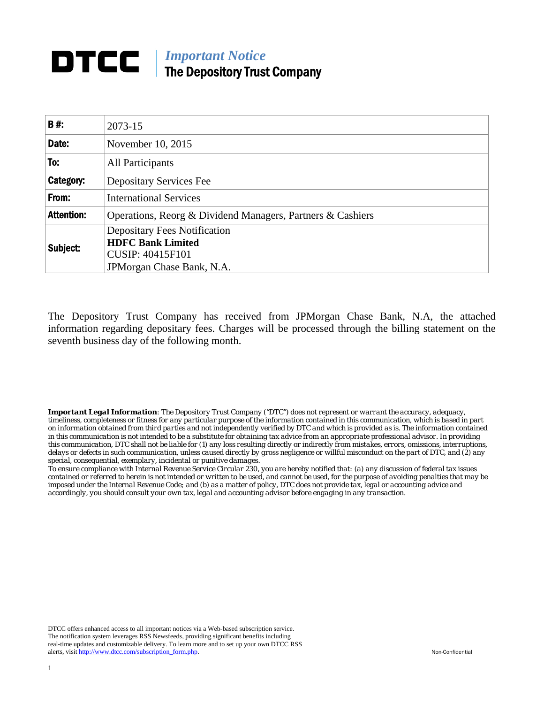## *Important Notice*  The Depository Trust Company

| <b>B#:</b>        | 2073-15                                                         |  |  |  |  |  |
|-------------------|-----------------------------------------------------------------|--|--|--|--|--|
| Date:             | November 10, 2015                                               |  |  |  |  |  |
| To:               | All Participants                                                |  |  |  |  |  |
| Category:         | <b>Depositary Services Fee</b>                                  |  |  |  |  |  |
| From:             | <b>International Services</b>                                   |  |  |  |  |  |
| <b>Attention:</b> | Operations, Reorg & Dividend Managers, Partners & Cashiers      |  |  |  |  |  |
| Subject:          | <b>Depositary Fees Notification</b><br><b>HDFC Bank Limited</b> |  |  |  |  |  |
|                   | <b>CUSIP: 40415F101</b>                                         |  |  |  |  |  |
|                   | JPM organ Chase Bank, N.A.                                      |  |  |  |  |  |

The Depository Trust Company has received from JPMorgan Chase Bank, N.A, the attached information regarding depositary fees. Charges will be processed through the billing statement on the seventh business day of the following month.

*Important Legal Information: The Depository Trust Company ("DTC") does not represent or warrant the accuracy, adequacy, timeliness, completeness or fitness for any particular purpose of the information contained in this communication, which is based in part on information obtained from third parties and not independently verified by DTC and which is provided as is. The information contained in this communication is not intended to be a substitute for obtaining tax advice from an appropriate professional advisor. In providing this communication, DTC shall not be liable for (1) any loss resulting directly or indirectly from mistakes, errors, omissions, interruptions, delays or defects in such communication, unless caused directly by gross negligence or willful misconduct on the part of DTC, and (2) any special, consequential, exemplary, incidental or punitive damages.* 

*To ensure compliance with Internal Revenue Service Circular 230, you are hereby notified that: (a) any discussion of federal tax issues contained or referred to herein is not intended or written to be used, and cannot be used, for the purpose of avoiding penalties that may be imposed under the Internal Revenue Code; and (b) as a matter of policy, DTC does not provide tax, legal or accounting advice and accordingly, you should consult your own tax, legal and accounting advisor before engaging in any transaction.*

DTCC offers enhanced access to all important notices via a Web-based subscription service. The notification system leverages RSS Newsfeeds, providing significant benefits including real-time updates and customizable delivery. To learn more and to set up your own DTCC RSS alerts, visit http://www.dtcc.com/subscription\_form.php. Non-Confidential